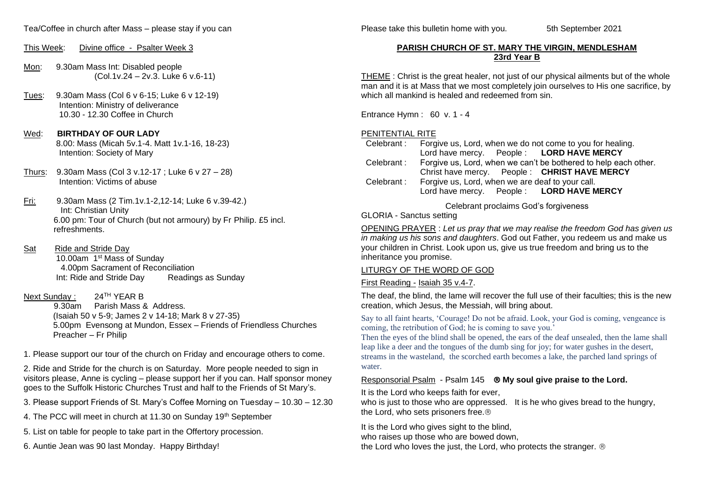## This Week: Divine office - Psalter Week 3

- Mon: 9.30am Mass Int: Disabled people (Col.1v.24 – 2v.3. Luke 6 v.6-11)
- Tues: 9.30am Mass (Col 6 v 6-15; Luke 6 v 12-19) Intention: Ministry of deliverance 10.30 - 12.30 Coffee in Church

#### Wed: **BIRTHDAY OF OUR LADY** 8.00: Mass (Micah 5v.1-4. Matt 1v.1-16, 18-23) Intention: Society of Mary

- Thurs: 9.30am Mass (Col 3 v.12-17 ; Luke 6 v 27 28) Intention: Victims of abuse
- Fri: 9.30am Mass (2 Tim.1v.1-2,12-14; Luke 6 v.39-42.) Int: Christian Unity 6.00 pm: Tour of Church (but not armoury) by Fr Philip. £5 incl. refreshments.
- Sat Ride and Stride Day 10.00am 1st Mass of Sunday 4.00pm Sacrament of Reconciliation Int: Ride and Stride Day Readings as Sunday

# Next Sunday : 24<sup>TH</sup> YEAR B

 9.30am Parish Mass & Address. (Isaiah 50 v 5-9; James 2 v 14-18; Mark 8 v 27-35) 5.00pm Evensong at Mundon, Essex – Friends of Friendless Churches Preacher – Fr Philip

1. Please support our tour of the church on Friday and encourage others to come.

2. Ride and Stride for the church is on Saturday. More people needed to sign in visitors please, Anne is cycling – please support her if you can. Half sponsor money goes to the Suffolk Historic Churches Trust and half to the Friends of St Mary's.

3. Please support Friends of St. Mary's Coffee Morning on Tuesday – 10.30 – 12.30

4. The PCC will meet in church at 11.30 on Sunday 19<sup>th</sup> September

- 5. List on table for people to take part in the Offertory procession.
- 6. Auntie Jean was 90 last Monday. Happy Birthday!

Please take this bulletin home with you. 5th September 2021

## **PARISH CHURCH OF ST. MARY THE VIRGIN, MENDLESHAM 23rd Year B**

THEME : Christ is the great healer, not just of our physical ailments but of the whole man and it is at Mass that we most completely join ourselves to His one sacrifice, by which all mankind is healed and redeemed from sin.

Entrance Hymn : 60 v. 1 - 4

# PENITENTIAL RITE

 Celebrant : Forgive us, Lord, when we do not come to you for healing. Lord have mercy. People : **LORD HAVE MERCY** Celebrant : Forgive us, Lord, when we can't be bothered to help each other. Christ have mercy. People : **CHRIST HAVE MERCY** Celebrant : Forgive us, Lord, when we are deaf to your call. Lord have mercy. People : **LORD HAVE MERCY**

Celebrant proclaims God's forgiveness

## GLORIA - Sanctus setting

OPENING PRAYER : *Let us pray that we may realise the freedom God has given us in making us his sons and daughters*. God out Father, you redeem us and make us your children in Christ. Look upon us, give us true freedom and bring us to the inheritance you promise.

# LITURGY OF THE WORD OF GOD

# First Reading - Isaiah 35 v.4-7.

The deaf, the blind, the lame will recover the full use of their faculties; this is the new creation, which Jesus, the Messiah, will bring about.

Say to all faint hearts, 'Courage! Do not be afraid. Look, your God is coming, vengeance is coming, the retribution of God; he is coming to save you.'

Then the eyes of the blind shall be opened, the ears of the deaf unsealed, then the lame shall leap like a deer and the tongues of the dumb sing for joy; for water gushes in the desert, streams in the wasteland, the scorched earth becomes a lake, the parched land springs of water.

# Responsorial Psalm - Psalm 145 **My soul give praise to the Lord.**

It is the Lord who keeps faith for ever,

who is just to those who are oppressed. It is he who gives bread to the hungry, the Lord, who sets prisoners free.

It is the Lord who gives sight to the blind,

who raises up those who are bowed down,

the Lord who loves the just, the Lord, who protects the stranger. ®